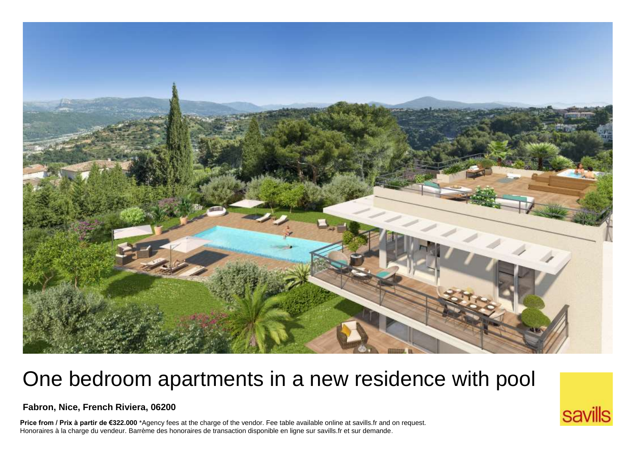

## One bedroom apartments in a new residence with pool

landscaped garden, in a calm and natural setting, **Fabron, Nice, French Riviera, 06200**

**Price from / Prix à partir de €322.000** \*Agency fees at the charge of the vendor. Fee table available online at savills.fr and on request.<br>Honoraires à la charge du vendeur. Barrème des honoraires de transaction disponib Honoraires à la charge du vendeur. Barrème des honoraires de transaction disponible en ligne sur savills.fr et sur demande.

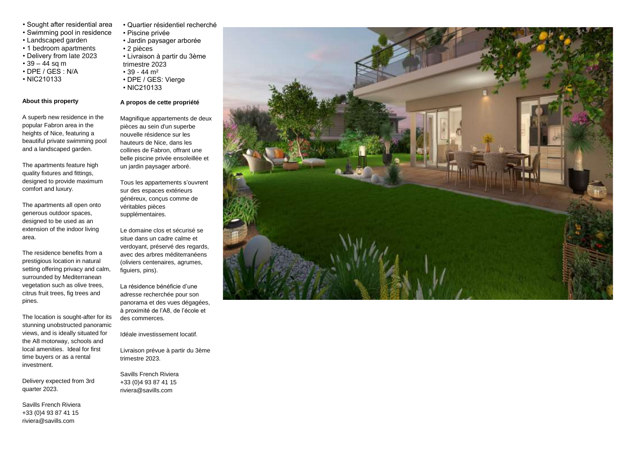- Sought after residential area
- Swimming pool in residence
- Landscaped garden
- 1 bedroom apartments
- Delivery from late 2023
- $39 44$  sq m
- DPE / GES : N/A
- NIC210133

## **About this property**

A superb new residence in the popular Fabron area in the heights of Nice, featuring a beautiful private swimming pool and a landscaped garden.

The apartments feature high quality fixtures and fittings, designed to provide maximum comfort and luxury.

The apartments all open onto generous outdoor spaces, designed to be used as an extension of the indoor living area.

The residence benefits from a prestigious location in natural setting offering privacy and calm, surrounded by Mediterranean vegetation such as olive trees, citrus fruit trees, fig trees and pines.

The location is sought-after for its stunning unobstructed panoramic views, and is ideally situated for the A8 motorway, schools and local amenities. Ideal for first time buyers or as a rental investment.

Delivery expected from 3rd quarter 2023.

Savills French Riviera +33 (0)4 93 87 41 15 riviera@savills.com

- Quartier résidentiel recherché
- Piscine privée
- Jardin paysager arborée
- 2 pièces
- Livraison à partir du 3ème trimestre 2023
- $39 44 m<sup>2</sup>$
- 
- DPE / GES: Vierge
- NIC210133

## **A propos de cette propriété**

Magnifique appartements de deux pièces au sein d'un superbe nouvelle résidence sur les hauteurs de Nice, dans les collines de Fabron, offrant une belle piscine privée ensoleillée et un jardin paysager arboré.

Tous les appartements s'ouvrent sur des espaces extérieurs généreux, conçus comme de véritables pièces supplémentaires.

Le domaine clos et sécurisé se situe dans un cadre calme et verdoyant, préservé des regards, avec des arbres méditerranéens (oliviers centenaires, agrumes, figuiers, pins).

La résidence bénéficie d'une adresse recherchée pour son panorama et des vues dégagées, à proximité de l'A8, de l'école et des commerces.

Idéale investissement locatif.

Livraison prévue à partir du 3ème trimestre 2023.

Savills French Riviera +33 (0)4 93 87 41 15 riviera@savills.com